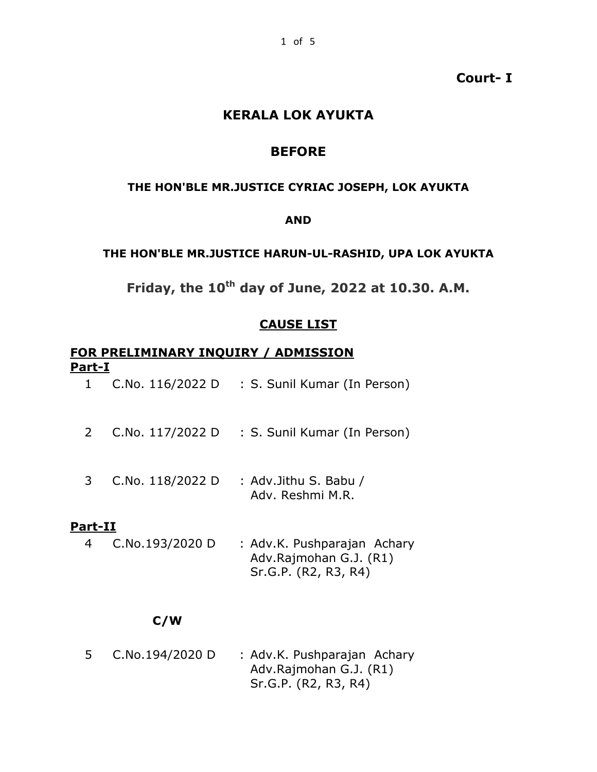### **Court- I**

### **KERALA LOK AYUKTA**

### **BEFORE**

#### **THE HON'BLE MR.JUSTICE CYRIAC JOSEPH, LOK AYUKTA**

#### **AND**

#### **THE HON'BLE MR.JUSTICE HARUN-UL-RASHID, UPA LOK AYUKTA**

**Friday, the 10th day of June, 2022 at 10.30. A.M.**

### **CAUSE LIST**

#### **FOR PRELIMINARY INQUIRY / ADMISSION Part-I**

- 1 C.No. 116/2022 D : S. Sunil Kumar (In Person)
- 2 C.No. 117/2022 D : S. Sunil Kumar (In Person)
- 3 C.No. 118/2022 D : Adv.Jithu S. Babu / Adv. Reshmi M.R.

#### **Part-II**

4 C.No.193/2020 D : Adv.K. Pushparajan Achary Adv.Rajmohan G.J. (R1) Sr.G.P. (R2, R3, R4)

### **C/W**

5 C.No.194/2020 D : Adv.K. Pushparajan Achary Adv.Rajmohan G.J. (R1) Sr.G.P. (R2, R3, R4)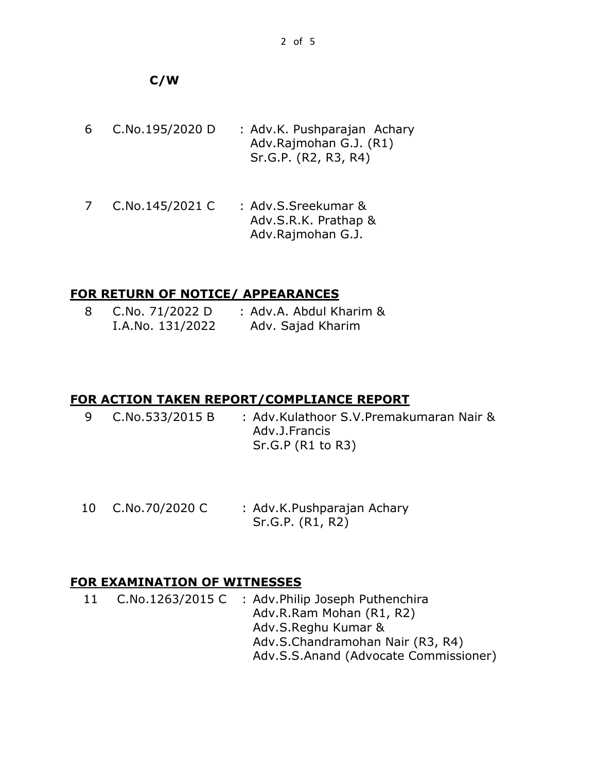## **C/W**

| 6 | C.No.195/2020 D | : Adv.K. Pushparajan Achary |
|---|-----------------|-----------------------------|
|   |                 | Adv.Rajmohan G.J. (R1)      |
|   |                 | Sr.G.P. (R2, R3, R4)        |

7 C.No.145/2021 C : Adv.S.Sreekumar & Adv.S.R.K. Prathap & Adv.Rajmohan G.J.

## **FOR RETURN OF NOTICE/ APPEARANCES**

|  | C.No. 71/2022 D  | : Adv.A. Abdul Kharim & |
|--|------------------|-------------------------|
|  | I.A.No. 131/2022 | Adv. Sajad Kharim       |

# **FOR ACTION TAKEN REPORT/COMPLIANCE REPORT**

| 9 C.No.533/2015 B | : Adv.Kulathoor S.V.Premakumaran Nair & |
|-------------------|-----------------------------------------|
|                   | Adv.J.Francis                           |
|                   | Sr.G.P (R1 to R3)                       |

10 C.No.70/2020 C : Adv.K.Pushparajan Achary Sr.G.P. (R1, R2)

# **FOR EXAMINATION OF WITNESSES**

11 C.No.1263/2015 C : Adv.Philip Joseph Puthenchira Adv.R.Ram Mohan (R1, R2) Adv.S.Reghu Kumar & Adv.S.Chandramohan Nair (R3, R4) Adv.S.S.Anand (Advocate Commissioner)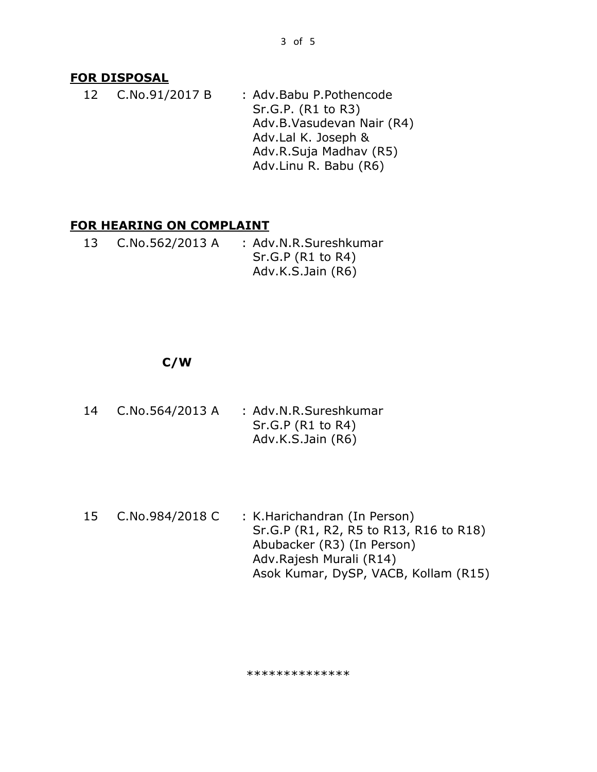### **FOR DISPOSAL**

12 C.No.91/2017 B : Adv.Babu P.Pothencode Sr.G.P. (R1 to R3) Adv.B.Vasudevan Nair (R4) Adv.Lal K. Joseph & Adv.R.Suja Madhav (R5) Adv.Linu R. Babu (R6)

### **FOR HEARING ON COMPLAINT**

13 C.No.562/2013 A : Adv.N.R.Sureshkumar Sr.G.P (R1 to R4) Adv.K.S.Jain (R6)

### **C/W**

- 14 C.No.564/2013 A : Adv.N.R.Sureshkumar Sr.G.P (R1 to R4) Adv.K.S.Jain (R6)
- 15 C.No.984/2018 C : K.Harichandran (In Person) Sr.G.P (R1, R2, R5 to R13, R16 to R18) Abubacker (R3) (In Person) Adv.Rajesh Murali (R14) Asok Kumar, DySP, VACB, Kollam (R15)

#### \*\*\*\*\*\*\*\*\*\*\*\*\*\*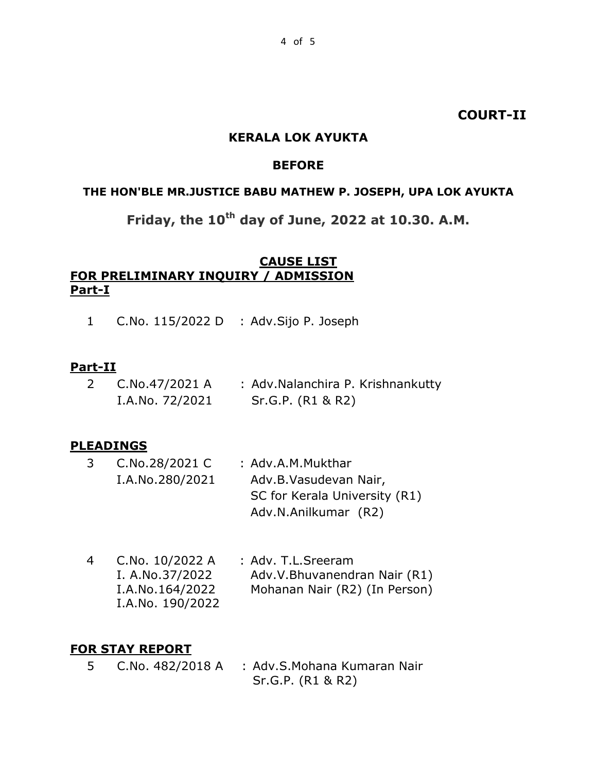### **COURT-II**

#### **KERALA LOK AYUKTA**

### **BEFORE**

#### **THE HON'BLE MR.JUSTICE BABU MATHEW P. JOSEPH, UPA LOK AYUKTA**

# **Friday, the 10th day of June, 2022 at 10.30. A.M.**

### **CAUSE LIST FOR PRELIMINARY INQUIRY / ADMISSION Part-I**

1 C.No. 115/2022 D : Adv.Sijo P. Joseph

#### **Part-II**

2 C.No.47/2021 A I.A.No. 72/2021 : Adv.Nalanchira P. Krishnankutty Sr.G.P. (R1 & R2)

### **PLEADINGS**

- 3 C.No.28/2021 C I.A.No.280/2021 : Adv.A.M.Mukthar Adv.B.Vasudevan Nair, SC for Kerala University (R1) Adv.N.Anilkumar (R2)
- 4 C.No. 10/2022 A I. A.No.37/2022 I.A.No.164/2022 I.A.No. 190/2022 : Adv. T.L.Sreeram Adv.V.Bhuvanendran Nair (R1) Mohanan Nair (R2) (In Person)

### **FOR STAY REPORT**

5 C.No. 482/2018 A : Adv.S.Mohana Kumaran Nair Sr.G.P. (R1 & R2)